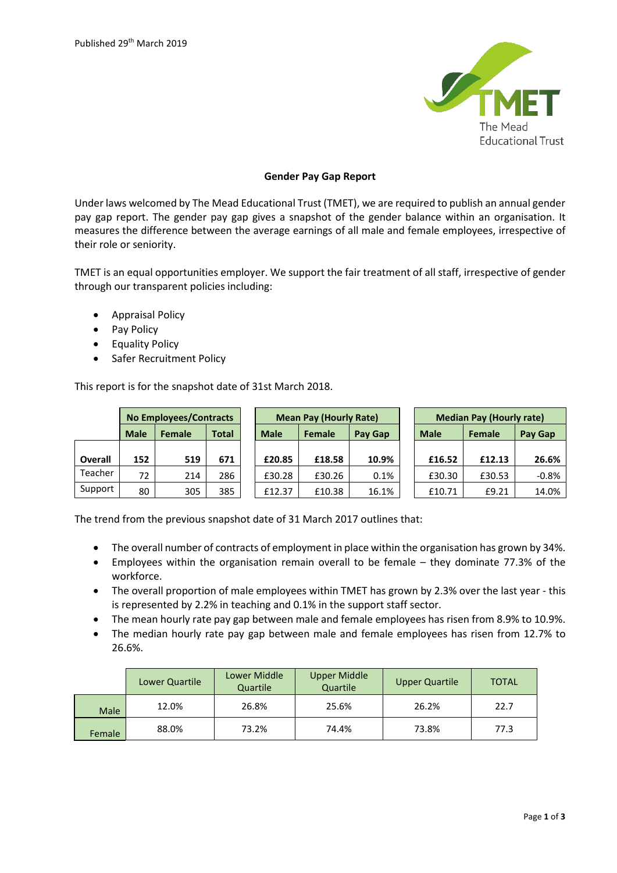

## **Gender Pay Gap Report**

Under laws welcomed by The Mead Educational Trust (TMET), we are required to publish an annual gender pay gap report. The gender pay gap gives a snapshot of the gender balance within an organisation. It measures the difference between the average earnings of all male and female employees, irrespective of their role or seniority.

TMET is an equal opportunities employer. We support the fair treatment of all staff, irrespective of gender through our transparent policies including:

- Appraisal Policy
- Pay Policy
- Equality Policy
- Safer Recruitment Policy

This report is for the snapshot date of 31st March 2018.

|                | <b>No Employees/Contracts</b> |        |              | <b>Mean Pay (Hourly Rate)</b> |               |         | <b>Median Pay (Hourly rate)</b> |        |         |
|----------------|-------------------------------|--------|--------------|-------------------------------|---------------|---------|---------------------------------|--------|---------|
|                | <b>Male</b>                   | Female | <b>Total</b> | <b>Male</b>                   | <b>Female</b> | Pay Gap | <b>Male</b>                     | Female | Pay Gap |
|                |                               |        |              |                               |               |         |                                 |        |         |
| <b>Overall</b> | 152                           | 519    | 671          | £20.85                        | £18.58        | 10.9%   | £16.52                          | £12.13 | 26.6%   |
| Teacher        | 72                            | 214    | 286          | £30.28                        | £30.26        | 0.1%    | £30.30                          | £30.53 | $-0.8%$ |
| Support        | 80                            | 305    | 385          | £12.37                        | £10.38        | 16.1%   | £10.71                          | £9.21  | 14.0%   |

The trend from the previous snapshot date of 31 March 2017 outlines that:

- The overall number of contracts of employment in place within the organisation has grown by 34%.
- Employees within the organisation remain overall to be female they dominate 77.3% of the workforce.
- The overall proportion of male employees within TMET has grown by 2.3% over the last year this is represented by 2.2% in teaching and 0.1% in the support staff sector.
- The mean hourly rate pay gap between male and female employees has risen from 8.9% to 10.9%.
- The median hourly rate pay gap between male and female employees has risen from 12.7% to 26.6%.

|             | Lower Quartile | Lower Middle<br>Quartile | <b>Upper Middle</b><br>Quartile | <b>Upper Quartile</b> | <b>TOTAL</b> |
|-------------|----------------|--------------------------|---------------------------------|-----------------------|--------------|
| <b>Male</b> | 12.0%          | 26.8%                    | 25.6%                           | 26.2%                 | 22.7         |
| Female      | 88.0%          | 73.2%                    | 74.4%                           | 73.8%                 | 77.3         |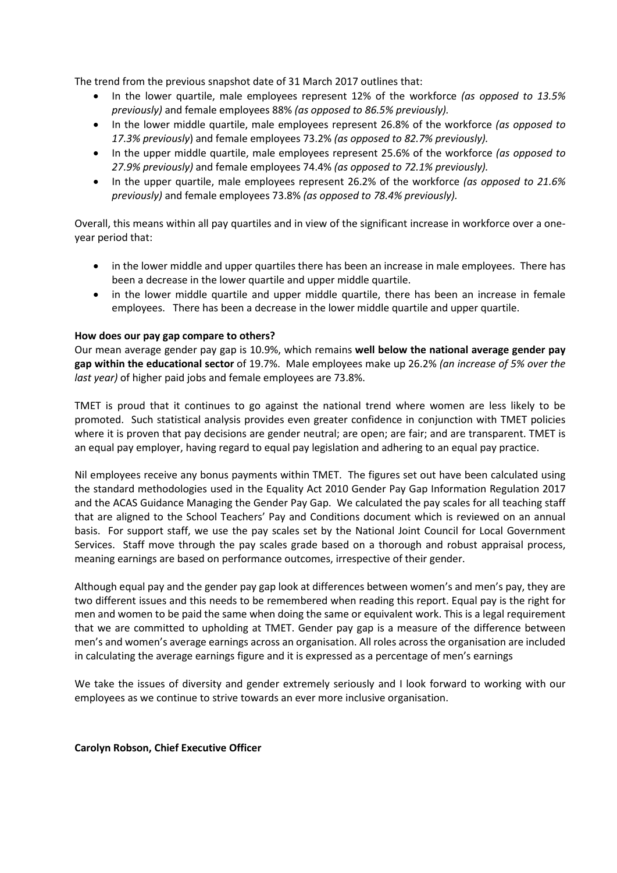The trend from the previous snapshot date of 31 March 2017 outlines that:

- In the lower quartile, male employees represent 12% of the workforce *(as opposed to 13.5% previously)* and female employees 88% *(as opposed to 86.5% previously).*
- In the lower middle quartile, male employees represent 26.8% of the workforce *(as opposed to 17.3% previously*) and female employees 73.2% *(as opposed to 82.7% previously).*
- In the upper middle quartile, male employees represent 25.6% of the workforce *(as opposed to 27.9% previously)* and female employees 74.4% *(as opposed to 72.1% previously).*
- In the upper quartile, male employees represent 26.2% of the workforce *(as opposed to 21.6% previously)* and female employees 73.8% *(as opposed to 78.4% previously).*

Overall, this means within all pay quartiles and in view of the significant increase in workforce over a oneyear period that:

- in the lower middle and upper quartiles there has been an increase in male employees. There has been a decrease in the lower quartile and upper middle quartile.
- in the lower middle quartile and upper middle quartile, there has been an increase in female employees. There has been a decrease in the lower middle quartile and upper quartile.

## **How does our pay gap compare to others?**

Our mean average gender pay gap is 10.9%, which remains **well below the national average gender pay gap within the educational sector** of 19.7%. Male employees make up 26.2% *(an increase of 5% over the last year)* of higher paid jobs and female employees are 73.8%.

TMET is proud that it continues to go against the national trend where women are less likely to be promoted. Such statistical analysis provides even greater confidence in conjunction with TMET policies where it is proven that pay decisions are gender neutral; are open; are fair; and are transparent. TMET is an equal pay employer, having regard to equal pay legislation and adhering to an equal pay practice.

Nil employees receive any bonus payments within TMET. The figures set out have been calculated using the standard methodologies used in the Equality Act 2010 Gender Pay Gap Information Regulation 2017 and the ACAS Guidance Managing the Gender Pay Gap. We calculated the pay scales for all teaching staff that are aligned to the School Teachers' Pay and Conditions document which is reviewed on an annual basis. For support staff, we use the pay scales set by the National Joint Council for Local Government Services. Staff move through the pay scales grade based on a thorough and robust appraisal process, meaning earnings are based on performance outcomes, irrespective of their gender.

Although equal pay and the gender pay gap look at differences between women's and men's pay, they are two different issues and this needs to be remembered when reading this report. Equal pay is the right for men and women to be paid the same when doing the same or equivalent work. This is a legal requirement that we are committed to upholding at TMET. Gender pay gap is a measure of the difference between men's and women's average earnings across an organisation. All roles across the organisation are included in calculating the average earnings figure and it is expressed as a percentage of men's earnings

We take the issues of diversity and gender extremely seriously and I look forward to working with our employees as we continue to strive towards an ever more inclusive organisation.

**Carolyn Robson, Chief Executive Officer**